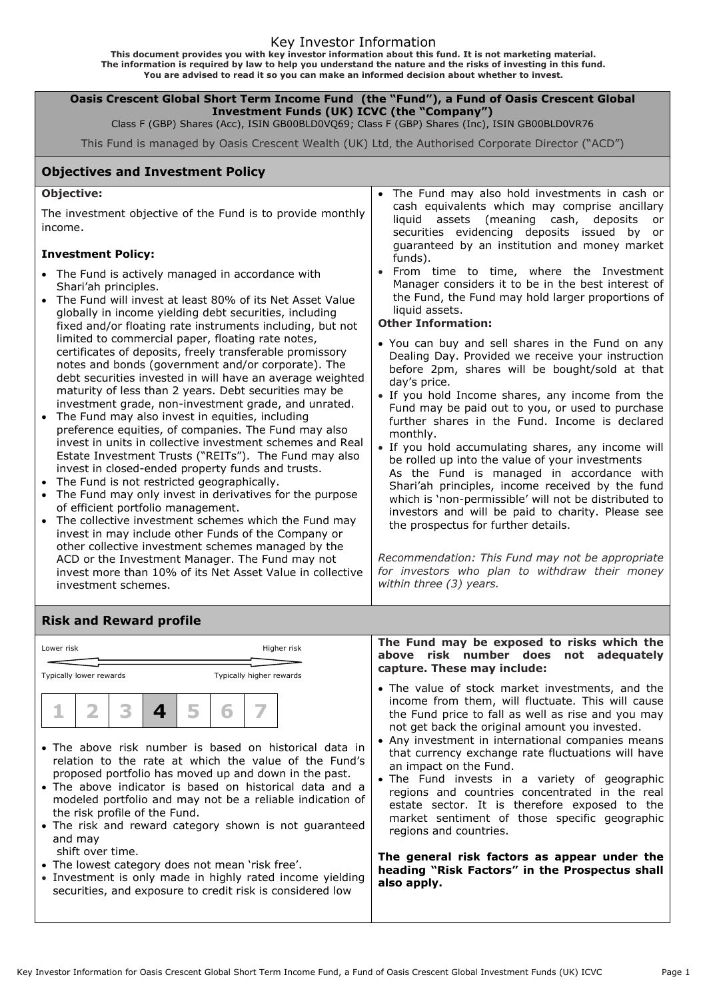#### Key Investor Information

**This document provides you with key investor information about this fund. It is not marketing material. The information is required by law to help you understand the nature and the risks of investing in this fund. You are advised to read it so you can make an informed decision about whether to invest.**

**Oasis Crescent Global Short Term Income Fund (the "Fund"), a Fund of Oasis Crescent Global Investment Funds (UK) ICVC (the "Company")**

Class F (GBP) Shares (Acc), ISIN GB00BLD0VQ69; Class F (GBP) Shares (Inc), ISIN GB00BLD0VR76

This Fund is managed by Oasis Crescent Wealth (UK) Ltd, the Authorised Corporate Director ("ACD")

## **Objectives and Investment Policy**

### **Objective:**

The investment objective of the Fund is to provide monthly income.

## **Investment Policy:**

- The Fund is actively managed in accordance with Shari'ah principles.
- The Fund will invest at least 80% of its Net Asset Value globally in income yielding debt securities, including fixed and/or floating rate instruments including, but not limited to commercial paper, floating rate notes, certificates of deposits, freely transferable promissory notes and bonds (government and/or corporate). The debt securities invested in will have an average weighted maturity of less than 2 years. Debt securities may be investment grade, non-investment grade, and unrated.
- The Fund may also invest in equities, including preference equities, of companies. The Fund may also invest in units in collective investment schemes and Real Estate Investment Trusts ("REITs"). The Fund may also invest in closed-ended property funds and trusts.
- The Fund is not restricted geographically.
- The Fund may only invest in derivatives for the purpose of efficient portfolio management.
- The collective investment schemes which the Fund may invest in may include other Funds of the Company or other collective investment schemes managed by the ACD or the Investment Manager. The Fund may not invest more than 10% of its Net Asset Value in collective investment schemes.
- The Fund may also hold investments in cash or cash equivalents which may comprise ancillary liquid assets (meaning cash, deposits or securities evidencing deposits issued by or guaranteed by an institution and money market funds).
- From time to time, where the Investment Manager considers it to be in the best interest of the Fund, the Fund may hold larger proportions of liquid assets.

#### **Other Information:**

- You can buy and sell shares in the Fund on any Dealing Day. Provided we receive your instruction before 2pm, shares will be bought/sold at that day's price.
- If you hold Income shares, any income from the Fund may be paid out to you, or used to purchase further shares in the Fund. Income is declared monthly.
- If you hold accumulating shares, any income will be rolled up into the value of your investments As the Fund is managed in accordance with Shari'ah principles, income received by the fund which is 'non-permissible' will not be distributed to investors and will be paid to charity. Please see the prospectus for further details.

*Recommendation: This Fund may not be appropriate for investors who plan to withdraw their money within three (3) years.*

# **Risk and Reward profile**